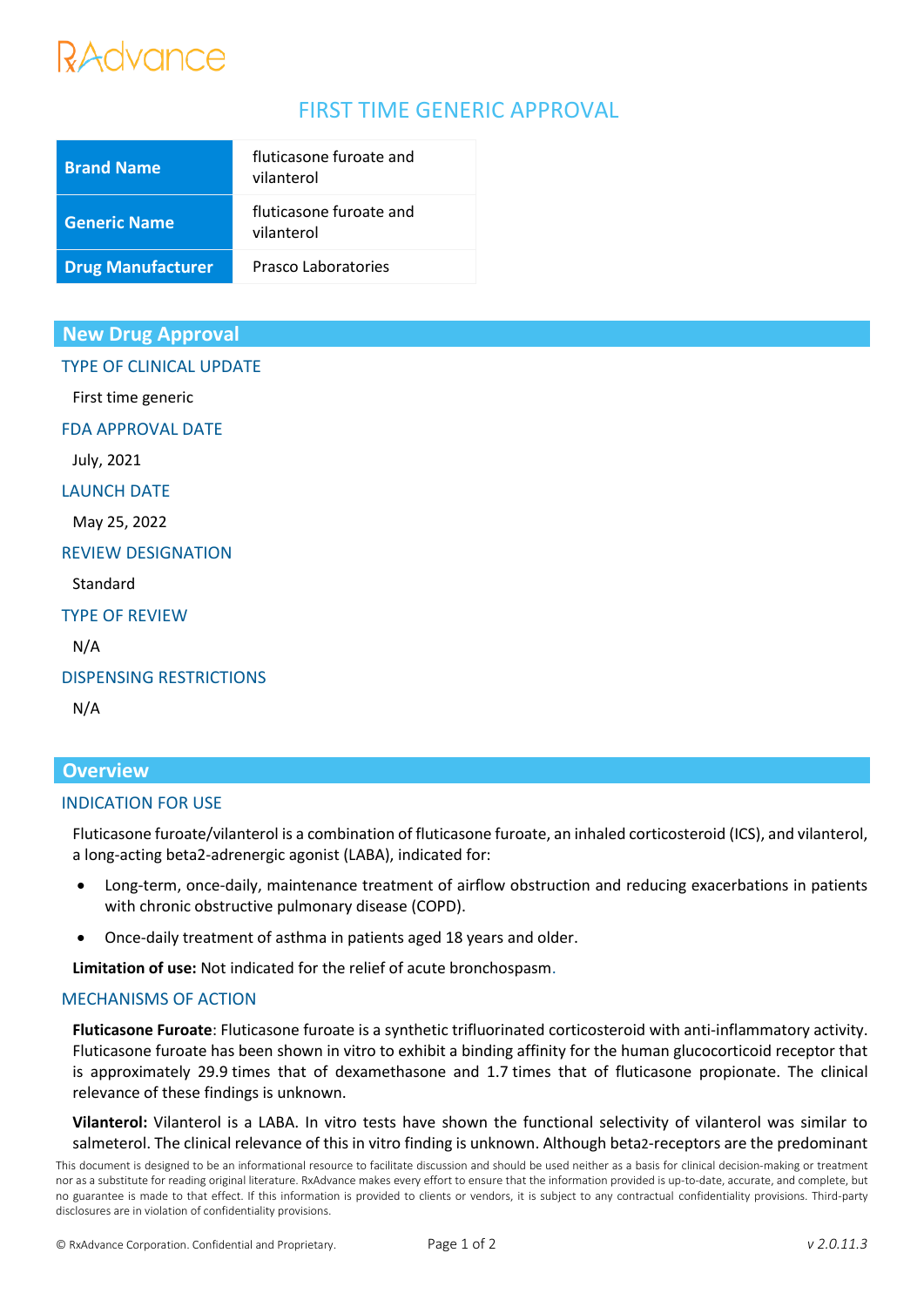# RAdvance

# FIRST TIME GENERIC APPROVAL

| <b>Brand Name</b>        | fluticasone furoate and<br>vilanterol |
|--------------------------|---------------------------------------|
| <b>Generic Name</b>      | fluticasone furoate and<br>vilanterol |
| <b>Drug Manufacturer</b> | Prasco Laboratories                   |

# **New Drug Approval**

TYPE OF CLINICAL UPDATE

First time generic

FDA APPROVAL DATE

July, 2021

#### LAUNCH DATE

May 25, 2022

#### REVIEW DESIGNATION

Standard

TYPE OF REVIEW

N/A

#### DISPENSING RESTRICTIONS

N/A

# **Overview**

## INDICATION FOR USE

Fluticasone furoate/vilanterol is a combination of fluticasone furoate, an inhaled corticosteroid (ICS), and vilanterol, a long-acting beta2-adrenergic agonist (LABA), indicated for:

- Long-term, once-daily, maintenance treatment of airflow obstruction and reducing exacerbations in patients with chronic obstructive pulmonary disease (COPD).
- Once-daily treatment of asthma in patients aged 18 years and older.

**Limitation of use:** Not indicated for the relief of acute bronchospasm.

#### MECHANISMS OF ACTION

**Fluticasone Furoate**: Fluticasone furoate is a synthetic trifluorinated corticosteroid with anti-inflammatory activity. Fluticasone furoate has been shown in vitro to exhibit a binding affinity for the human glucocorticoid receptor that is approximately 29.9 times that of dexamethasone and 1.7 times that of fluticasone propionate. The clinical relevance of these findings is unknown.

**Vilanterol:** Vilanterol is a LABA. In vitro tests have shown the functional selectivity of vilanterol was similar to salmeterol. The clinical relevance of this in vitro finding is unknown. Although beta2-receptors are the predominant

This document is designed to be an informational resource to facilitate discussion and should be used neither as a basis for clinical decision-making or treatment nor as a substitute for reading original literature. RxAdvance makes every effort to ensure that the information provided is up-to-date, accurate, and complete, but no guarantee is made to that effect. If this information is provided to clients or vendors, it is subject to any contractual confidentiality provisions. Third-party disclosures are in violation of confidentiality provisions.